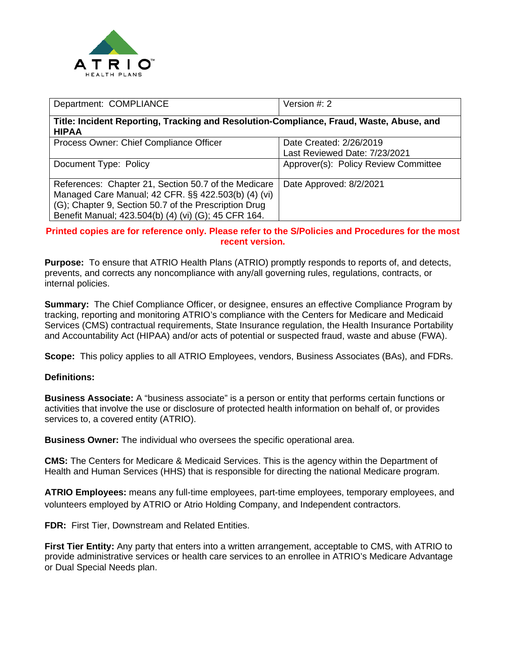

| Department: COMPLIANCE                                                                                                                                                                                                       | Version $#: 2$                                           |
|------------------------------------------------------------------------------------------------------------------------------------------------------------------------------------------------------------------------------|----------------------------------------------------------|
| Title: Incident Reporting, Tracking and Resolution-Compliance, Fraud, Waste, Abuse, and<br><b>HIPAA</b>                                                                                                                      |                                                          |
| Process Owner: Chief Compliance Officer                                                                                                                                                                                      | Date Created: 2/26/2019<br>Last Reviewed Date: 7/23/2021 |
| Document Type: Policy                                                                                                                                                                                                        | Approver(s): Policy Review Committee                     |
| References: Chapter 21, Section 50.7 of the Medicare<br>Managed Care Manual; 42 CFR. §§ 422.503(b) (4) (vi)<br>(G); Chapter 9, Section 50.7 of the Prescription Drug<br>Benefit Manual; 423.504(b) (4) (vi) (G); 45 CFR 164. | Date Approved: 8/2/2021                                  |

**Printed copies are for reference only. Please refer to the S/Policies and Procedures for the most recent version.**

**Purpose:** To ensure that ATRIO Health Plans (ATRIO) promptly responds to reports of, and detects, prevents, and corrects any noncompliance with any/all governing rules, regulations, contracts, or internal policies.

**Summary:** The Chief Compliance Officer, or designee, ensures an effective Compliance Program by tracking, reporting and monitoring ATRIO's compliance with the Centers for Medicare and Medicaid Services (CMS) contractual requirements, State Insurance regulation, the Health Insurance Portability and Accountability Act (HIPAA) and/or acts of potential or suspected fraud, waste and abuse (FWA).

**Scope:** This policy applies to all ATRIO Employees, vendors, Business Associates (BAs), and FDRs.

# **Definitions:**

**Business Associate:** A "business associate" is a person or entity that performs certain functions or activities that involve the use or disclosure of protected health information on behalf of, or provides services to, a covered entity (ATRIO).

**Business Owner:** The individual who oversees the specific operational area.

**CMS:** The Centers for Medicare & Medicaid Services. This is the agency within the Department of Health and Human Services (HHS) that is responsible for directing the national Medicare program.

**ATRIO Employees:** means any full-time employees, part-time employees, temporary employees, and volunteers employed by ATRIO or Atrio Holding Company, and Independent contractors.

**FDR:** First Tier, Downstream and Related Entities.

**First Tier Entity:** Any party that enters into a written arrangement, acceptable to CMS, with ATRIO to provide administrative services or health care services to an enrollee in ATRIO's Medicare Advantage or Dual Special Needs plan.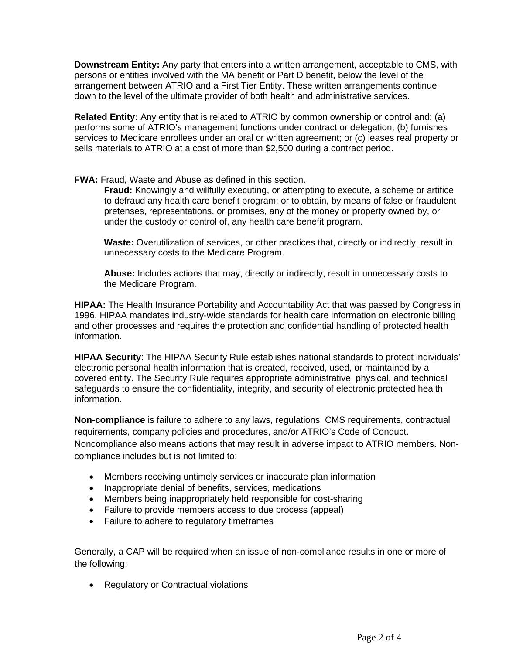**Downstream Entity:** Any party that enters into a written arrangement, acceptable to CMS, with persons or entities involved with the MA benefit or Part D benefit, below the level of the arrangement between ATRIO and a First Tier Entity. These written arrangements continue down to the level of the ultimate provider of both health and administrative services.

**Related Entity:** Any entity that is related to ATRIO by common ownership or control and: (a) performs some of ATRIO's management functions under contract or delegation; (b) furnishes services to Medicare enrollees under an oral or written agreement; or (c) leases real property or sells materials to ATRIO at a cost of more than \$2,500 during a contract period.

# **FWA:** Fraud, Waste and Abuse as defined in this section.

**Fraud:** Knowingly and willfully executing, or attempting to execute, a scheme or artifice to defraud any health care benefit program; or to obtain, by means of false or fraudulent pretenses, representations, or promises, any of the money or property owned by, or under the custody or control of, any health care benefit program.

**Waste:** Overutilization of services, or other practices that, directly or indirectly, result in unnecessary costs to the Medicare Program.

**Abuse:** Includes actions that may, directly or indirectly, result in unnecessary costs to the Medicare Program.

**HIPAA:** The Health Insurance Portability and Accountability Act that was passed by Congress in 1996. HIPAA mandates industry-wide standards for health care information on electronic billing and other processes and requires the protection and confidential handling of protected health information.

**HIPAA Security**: The HIPAA Security Rule establishes national standards to protect individuals' electronic personal health information that is created, received, used, or maintained by a covered entity. The Security Rule requires appropriate administrative, physical, and technical safeguards to ensure the confidentiality, integrity, and security of electronic protected health information.

**Non-compliance** is failure to adhere to any laws, regulations, CMS requirements, contractual requirements, company policies and procedures, and/or ATRIO's Code of Conduct. Noncompliance also means actions that may result in adverse impact to ATRIO members. Noncompliance includes but is not limited to:

- Members receiving untimely services or inaccurate plan information
- Inappropriate denial of benefits, services, medications
- Members being inappropriately held responsible for cost-sharing
- Failure to provide members access to due process (appeal)
- Failure to adhere to regulatory timeframes

Generally, a CAP will be required when an issue of non-compliance results in one or more of the following:

• Regulatory or Contractual violations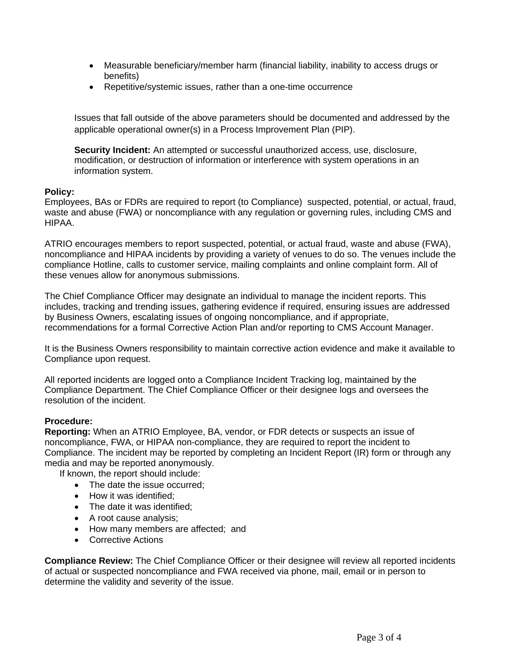- Measurable beneficiary/member harm (financial liability, inability to access drugs or benefits)
- Repetitive/systemic issues, rather than a one-time occurrence

Issues that fall outside of the above parameters should be documented and addressed by the applicable operational owner(s) in a Process Improvement Plan (PIP).

**Security Incident:** An attempted or successful unauthorized access, use, disclosure, modification, or destruction of information or interference with system operations in an information system.

# **Policy:**

Employees, BAs or FDRs are required to report (to Compliance) suspected, potential, or actual, fraud, waste and abuse (FWA) or noncompliance with any regulation or governing rules, including CMS and HIPAA.

ATRIO encourages members to report suspected, potential, or actual fraud, waste and abuse (FWA), noncompliance and HIPAA incidents by providing a variety of venues to do so. The venues include the compliance Hotline, calls to customer service, mailing complaints and online complaint form. All of these venues allow for anonymous submissions.

The Chief Compliance Officer may designate an individual to manage the incident reports. This includes, tracking and trending issues, gathering evidence if required, ensuring issues are addressed by Business Owners, escalating issues of ongoing noncompliance, and if appropriate, recommendations for a formal Corrective Action Plan and/or reporting to CMS Account Manager.

It is the Business Owners responsibility to maintain corrective action evidence and make it available to Compliance upon request.

All reported incidents are logged onto a Compliance Incident Tracking log, maintained by the Compliance Department. The Chief Compliance Officer or their designee logs and oversees the resolution of the incident.

# **Procedure:**

**Reporting:** When an ATRIO Employee, BA, vendor, or FDR detects or suspects an issue of noncompliance, FWA, or HIPAA non-compliance, they are required to report the incident to Compliance. The incident may be reported by completing an Incident Report (IR) form or through any media and may be reported anonymously.

If known, the report should include:

- The date the issue occurred:
- How it was identified;
- The date it was identified;
- A root cause analysis;
- How many members are affected; and
- Corrective Actions

**Compliance Review:** The Chief Compliance Officer or their designee will review all reported incidents of actual or suspected noncompliance and FWA received via phone, mail, email or in person to determine the validity and severity of the issue.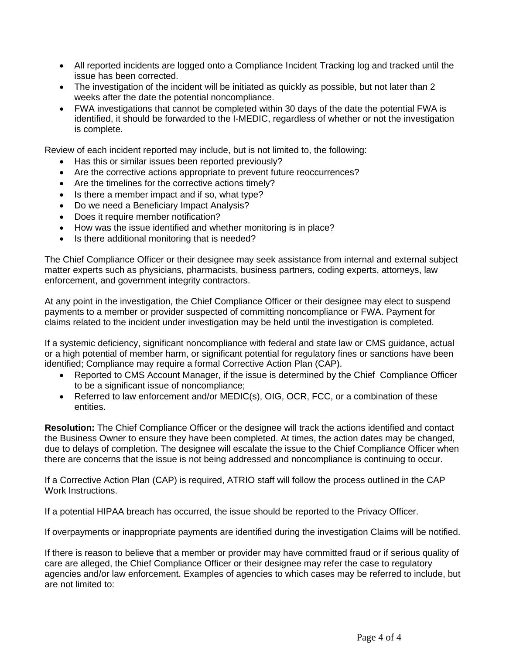- All reported incidents are logged onto a Compliance Incident Tracking log and tracked until the issue has been corrected.
- The investigation of the incident will be initiated as quickly as possible, but not later than 2 weeks after the date the potential noncompliance.
- FWA investigations that cannot be completed within 30 days of the date the potential FWA is identified, it should be forwarded to the I-MEDIC, regardless of whether or not the investigation is complete.

Review of each incident reported may include, but is not limited to, the following:

- Has this or similar issues been reported previously?
- Are the corrective actions appropriate to prevent future reoccurrences?
- Are the timelines for the corrective actions timely?
- Is there a member impact and if so, what type?
- Do we need a Beneficiary Impact Analysis?
- Does it require member notification?
- How was the issue identified and whether monitoring is in place?
- Is there additional monitoring that is needed?

The Chief Compliance Officer or their designee may seek assistance from internal and external subject matter experts such as physicians, pharmacists, business partners, coding experts, attorneys, law enforcement, and government integrity contractors.

At any point in the investigation, the Chief Compliance Officer or their designee may elect to suspend payments to a member or provider suspected of committing noncompliance or FWA. Payment for claims related to the incident under investigation may be held until the investigation is completed.

If a systemic deficiency, significant noncompliance with federal and state law or CMS guidance, actual or a high potential of member harm, or significant potential for regulatory fines or sanctions have been identified; Compliance may require a formal Corrective Action Plan (CAP).

- Reported to CMS Account Manager, if the issue is determined by the Chief Compliance Officer to be a significant issue of noncompliance;
- Referred to law enforcement and/or MEDIC(s), OIG, OCR, FCC, or a combination of these entities.

**Resolution:** The Chief Compliance Officer or the designee will track the actions identified and contact the Business Owner to ensure they have been completed. At times, the action dates may be changed, due to delays of completion. The designee will escalate the issue to the Chief Compliance Officer when there are concerns that the issue is not being addressed and noncompliance is continuing to occur.

If a Corrective Action Plan (CAP) is required, ATRIO staff will follow the process outlined in the CAP Work Instructions.

If a potential HIPAA breach has occurred, the issue should be reported to the Privacy Officer.

If overpayments or inappropriate payments are identified during the investigation Claims will be notified.

If there is reason to believe that a member or provider may have committed fraud or if serious quality of care are alleged, the Chief Compliance Officer or their designee may refer the case to regulatory agencies and/or law enforcement. Examples of agencies to which cases may be referred to include, but are not limited to: